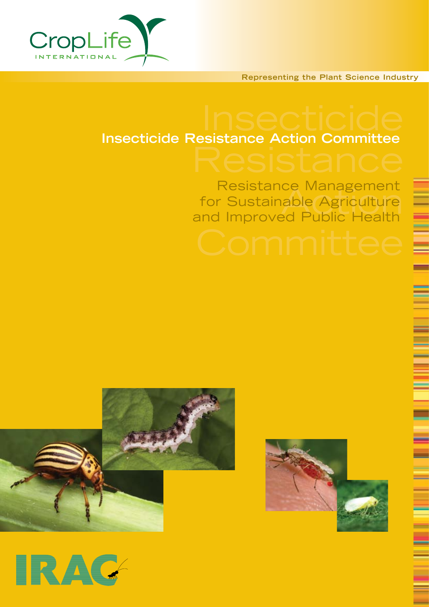

**Representing the Plant Science Industry**

# Insecticide **Insecticide Resistance Action Committee**

# Resistance Management

ce management<br>lable Agriculture<br>ed Public Health for Sustainable Agriculture and Improved Public Health





![](_page_0_Picture_7.jpeg)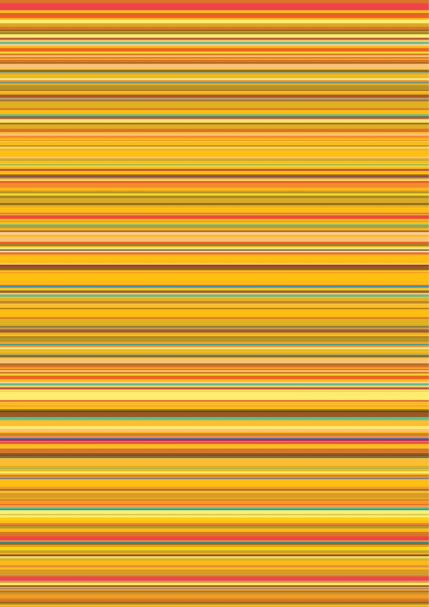--**STATISTICS** ═ <u> 2001 - Andrea San Andrew Maria (h. 1888).</u>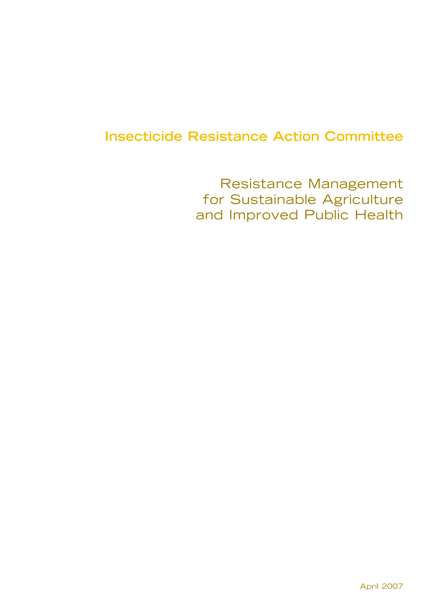## **Insecticide Resistance Action Committee**

Resistance Management for Sustainable Agriculture and Improved Public Health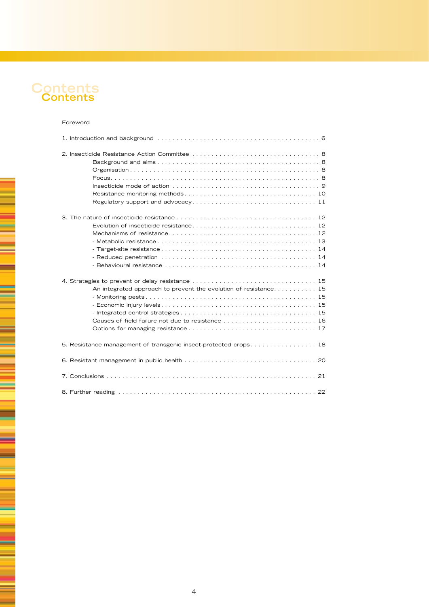### **Contents Contents**

#### Foreword

| Insecticide mode of action $\ldots \ldots \ldots \ldots \ldots \ldots \ldots \ldots \ldots \ldots \ldots$ |
|-----------------------------------------------------------------------------------------------------------|
|                                                                                                           |
| An integrated approach to prevent the evolution of resistance. 15                                         |
| 5. Resistance management of transgenic insect-protected crops 18                                          |
|                                                                                                           |
|                                                                                                           |
|                                                                                                           |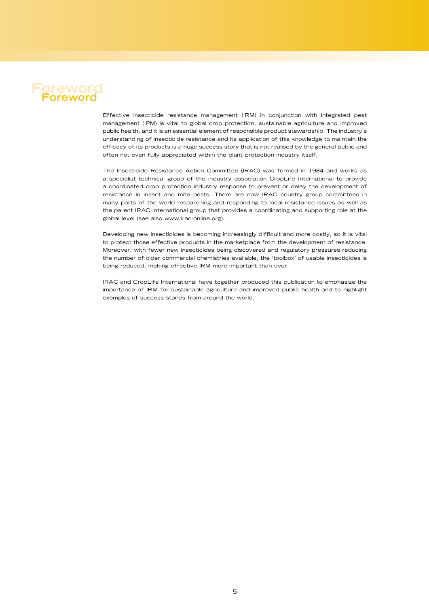### **Foreword Foreword**

Effective insecticide resistance management (IRM) in conjunction with integrated pest management (IPM) is vital to global crop protection, sustainable agriculture and improved public health, and it is an essential element of responsible product stewardship. The industry's understanding of insecticide resistance and its application of this knowledge to maintain the efficacy of its products is a huge success story that is not realised by the general public and often not even fully appreciated within the plant protection industry itself.

The Insecticide Resistance Action Committee (IRAC) was formed in 1984 and works as a specialist technical group of the industry association CropLife International to provide a coordinated crop protection industry response to prevent or delay the development of resistance in insect and mite pests. There are now IRAC country group committees in many parts of the world researching and responding to local resistance issues as well as the parent IRAC International group that provides a coordinating and supporting role at the global level (see also www.irac-online.org).

Developing new insecticides is becoming increasingly difficult and more costly, so it is vital to protect those effective products in the marketplace from the development of resistance. Moreover, with fewer new insecticides being discovered and regulatory pressures reducing the number of older commercial chemistries available, the 'toolbox' of usable insecticides is being reduced, making effective IRM more important than ever.

IRAC and CropLife International have together produced this publication to emphasize the importance of IRM for sustainable agriculture and improved public health and to highlight examples of success stories from around the world.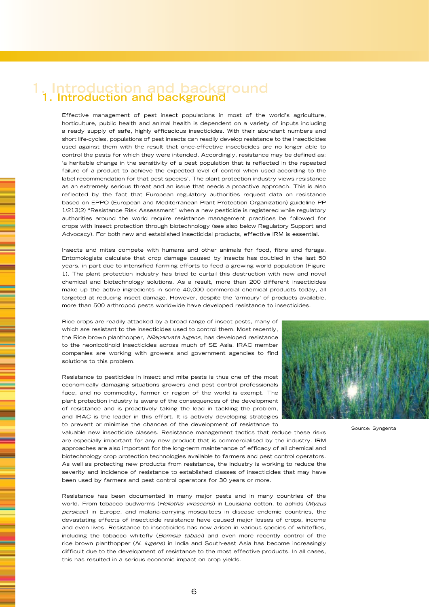# **1. Introduction and background 1. Introduction and background**

Effective management of pest insect populations in most of the world's agriculture, horticulture, public health and animal health is dependent on a variety of inputs including a ready supply of safe, highly efficacious insecticides. With their abundant numbers and short life-cycles, populations of pest insects can readily develop resistance to the insecticides used against them with the result that once-effective insecticides are no longer able to control the pests for which they were intended. Accordingly, resistance may be defined as: 'a heritable change in the sensitivity of a pest population that is reflected in the repeated failure of a product to achieve the expected level of control when used according to the label recommendation for that pest species'. The plant protection industry views resistance as an extremely serious threat and an issue that needs a proactive approach. This is also reflected by the fact that European regulatory authorities request data on resistance based on EPPO (European and Mediterranean Plant Protection Organization) guideline PP 1/213(2) "Resistance Risk Assessment" when a new pesticide is registered while regulatory authorities around the world require resistance management practices be followed for crops with insect protection through biotechnology (see also below Regulatory Support and Advocacy). For both new and established insecticidal products, effective IRM is essential.

Insects and mites compete with humans and other animals for food, fibre and forage. Entomologists calculate that crop damage caused by insects has doubled in the last 50 years, in part due to intensified farming efforts to feed a growing world population (Figure 1). The plant protection industry has tried to curtail this destruction with new and novel chemical and biotechnology solutions. As a result, more than 200 different insecticides make up the active ingredients in some 40,000 commercial chemical products today, all targeted at reducing insect damage. However, despite the 'armoury' of products available, more than 500 arthropod pests worldwide have developed resistance to insecticides.

Rice crops are readily attacked by a broad range of insect pests, many of which are resistant to the insecticides used to control them. Most recently, the Rice brown planthopper, Nilaparvata lugens, has developed resistance to the neonicotinoid insecticides across much of SE Asia. IRAC member companies are working with growers and government agencies to find solutions to this problem.

Resistance to pesticides in insect and mite pests is thus one of the most economically damaging situations growers and pest control professionals face, and no commodity, farmer or region of the world is exempt. The plant protection industry is aware of the consequences of the development of resistance and is proactively taking the lead in tackling the problem, and IRAC is the leader in this effort. It is actively developing strategies to prevent or minimise the chances of the development of resistance to

valuable new insecticide classes. Resistance management tactics that reduce these risks are especially important for any new product that is commercialised by the industry. IRM approaches are also important for the long-term maintenance of efficacy of all chemical and biotechnology crop protection technologies available to farmers and pest control operators. As well as protecting new products from resistance, the industry is working to reduce the severity and incidence of resistance to established classes of insecticides that may have been used by farmers and pest control operators for 30 years or more.

Resistance has been documented in many major pests and in many countries of the world. From tobacco budworms (Heliothis virescens) in Louisiana cotton, to aphids (Myzus persicae) in Europe, and malaria-carrying mosquitoes in disease endemic countries, the devastating effects of insecticide resistance have caused major losses of crops, income and even lives. Resistance to insecticides has now arisen in various species of whiteflies, including the tobacco whitefly (Bemisia tabaci) and even more recently control of the rice brown planthopper (N. lugens) in India and South-east Asia has become increasingly difficult due to the development of resistance to the most effective products. In all cases, this has resulted in a serious economic impact on crop yields.

![](_page_5_Picture_7.jpeg)

Source: Syngenta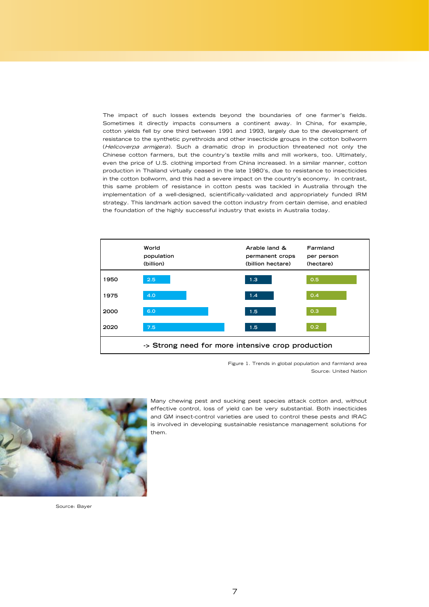The impact of such losses extends beyond the boundaries of one farmer's fields. Sometimes it directly impacts consumers a continent away. In China, for example, cotton yields fell by one third between 1991 and 1993, largely due to the development of resistance to the synthetic pyrethroids and other insecticide groups in the cotton bollworm (Helicoverpa armigera). Such a dramatic drop in production threatened not only the Chinese cotton farmers, but the country's textile mills and mill workers, too. Ultimately, even the price of U.S. clothing imported from China increased. In a similar manner, cotton production in Thailand virtually ceased in the late 1980's, due to resistance to insecticides in the cotton bollworm, and this had a severe impact on the country's economy. In contrast, this same problem of resistance in cotton pests was tackled in Australia through the implementation of a well-designed, scientifically-validated and appropriately funded IRM strategy. This landmark action saved the cotton industry from certain demise, and enabled the foundation of the highly successful industry that exists in Australia today.

![](_page_6_Figure_1.jpeg)

Figure 1. Trends in global population and farmland area Source: United Nation

Many chewing pest and sucking pest species attack cotton and, without effective control, loss of yield can be very substantial. Both insecticides and GM insect-control varieties are used to control these pests and IRAC is involved in developing sustainable resistance management solutions for them.

![](_page_6_Picture_4.jpeg)

Source: Bayer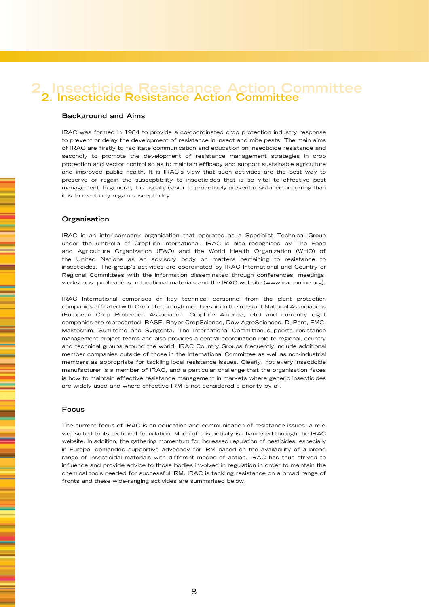### **2. Insecticide Resistance Action Committee 2. Insecticide Resistance Action Committee**

#### **Background and Aims**

IRAC was formed in 1984 to provide a co-coordinated crop protection industry response to prevent or delay the development of resistance in insect and mite pests. The main aims of IRAC are firstly to facilitate communication and education on insecticide resistance and secondly to promote the development of resistance management strategies in crop protection and vector control so as to maintain efficacy and support sustainable agriculture and improved public health. It is IRAC's view that such activities are the best way to preserve or regain the susceptibility to insecticides that is so vital to effective pest management. In general, it is usually easier to proactively prevent resistance occurring than it is to reactively regain susceptibility.

#### **Organisation**

IRAC is an inter-company organisation that operates as a Specialist Technical Group under the umbrella of CropLife International. IRAC is also recognised by The Food and Agriculture Organization (FAO) and the World Health Organization (WHO) of the United Nations as an advisory body on matters pertaining to resistance to insecticides. The group's activities are coordinated by IRAC International and Country or Regional Committees with the information disseminated through conferences, meetings, workshops, publications, educational materials and the IRAC website (www.irac-online.org).

IRAC International comprises of key technical personnel from the plant protection companies affiliated with CropLife through membership in the relevant National Associations (European Crop Protection Association, CropLife America, etc) and currently eight companies are represented: BASF, Bayer CropScience, Dow AgroSciences, DuPont, FMC, Makteshim, Sumitomo and Syngenta. The International Committee supports resistance management project teams and also provides a central coordination role to regional, country and technical groups around the world. IRAC Country Groups frequently include additional member companies outside of those in the International Committee as well as non-industrial members as appropriate for tackling local resistance issues. Clearly, not every insecticide manufacturer is a member of IRAC, and a particular challenge that the organisation faces is how to maintain effective resistance management in markets where generic insecticides are widely used and where effective IRM is not considered a priority by all.

#### **Focus**

The current focus of IRAC is on education and communication of resistance issues, a role well suited to its technical foundation. Much of this activity is channelled through the IRAC website. In addition, the gathering momentum for increased regulation of pesticides, especially in Europe, demanded supportive advocacy for IRM based on the availability of a broad range of insecticidal materials with different modes of action. IRAC has thus strived to influence and provide advice to those bodies involved in regulation in order to maintain the chemical tools needed for successful IRM. IRAC is tackling resistance on a broad range of fronts and these wide-ranging activities are summarised below.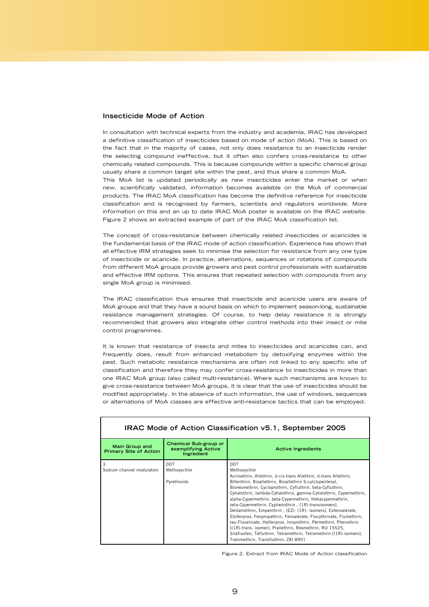#### **Insecticide Mode of Action**

In consultation with technical experts from the industry and academia, IRAC has developed a definitive classification of insecticides based on mode of action (MoA). This is based on the fact that in the majority of cases, not only does resistance to an insecticide render the selecting compound ineffective, but it often also confers cross-resistance to other chemically related compounds. This is because compounds within a specific chemical group usually share a common target site within the pest, and thus share a common MoA.

This MoA list is updated periodically as new insecticides enter the market or when new, scientifically validated, information becomes available on the MoA of commercial products. The IRAC MoA classification has become the definitive reference for insecticide classification and is recognised by farmers, scientists and regulators worldwide. More information on this and an up to date IRAC MoA poster is available on the IRAC website. Figure 2 shows an extracted example of part of the IRAC MoA classification list.

The concept of cross-resistance between chemically related insecticides or acaricides is the fundamental basis of the IRAC mode of action classification. Experience has shown that all effective IRM strategies seek to minimise the selection for resistance from any one type of insecticide or acaricide. In practice, alternations, sequences or rotations of compounds from different MoA groups provide growers and pest control professionals with sustainable and effective IRM options. This ensures that repeated selection with compounds from any single MoA group is minimised.

The IRAC classification thus ensures that insecticide and acaricide users are aware of MoA groups and that they have a sound basis on which to implement season-long, sustainable resistance management strategies. Of course, to help delay resistance it is strongly recommended that growers also integrate other control methods into their insect or mite control programmes.

It is known that resistance of insects and mites to insecticides and acaricides can, and frequently does, result from enhanced metabolism by detoxifying enzymes within the pest. Such metabolic resistance mechanisms are often not linked to any specific site of classification and therefore they may confer cross-resistance to insecticides in more than one IRAC MoA group (also called multi-resistance). Where such mechanisms are known to give cross-resistance between MoA groups, it is clear that the use of insecticides should be modified appropriately. In the absence of such information, the use of windows, sequences or alternations of MoA classes are effective anti-resistance tactics that can be employed.

| IRAC Mode of Action Classification v5.1, September 2005 |                                                            |                                                                                                                                                                                                                                                                                                                                                                                                                                                                                                                                                                                                                                                                                                                                                                                                             |  |
|---------------------------------------------------------|------------------------------------------------------------|-------------------------------------------------------------------------------------------------------------------------------------------------------------------------------------------------------------------------------------------------------------------------------------------------------------------------------------------------------------------------------------------------------------------------------------------------------------------------------------------------------------------------------------------------------------------------------------------------------------------------------------------------------------------------------------------------------------------------------------------------------------------------------------------------------------|--|
| Main Group and<br><b>Primary Site of Action</b>         | Chemical Sub-group or<br>exemplifying Active<br>Ingredient | <b>Active Ingredients</b>                                                                                                                                                                                                                                                                                                                                                                                                                                                                                                                                                                                                                                                                                                                                                                                   |  |
| 3<br>Sodium channel modulators                          | <b>DDT</b><br>Methoxychlor<br>Pyrethroids                  | <b>DDT</b><br>Methoxychlor<br>Acrinathrin, Allethrin, d-cis-trans Allethrin, d-trans Allethrin,<br>Bifenthrin, Bioallethrin, Bioallethrin S-cylclopentenyl,<br>Bioresmethrin, Cycloprothrin, Cyfluthrin, beta-Cyfluthrin,<br>Cyhalothrin, lambda-Cyhalothrin, gamma-Cyhalothrin, Cypermethrin,<br>alpha-Cypermethrin, beta-Cypermethrin, thetacypermethrin,<br>zeta-Cypermethrin, Cyphenothrin, (1R)-transisomers],<br>Deltamethrin, Empenthrin, (EZ)- (1R)- isomers], Esfenvalerate,<br>Etofenprox, Fenpropathrin, Fenvalerate, Flucythrinate, Flumethrin,<br>tau-Fluvalinate, Halfenprox, Imiprothrin, Permethrin, Phenothrin<br>[(1R)-trans- isomer], Prallethrin, Resmethrin, RU 15525,<br>Silafluofen, Tefluthrin, Tetramethrin, Tetramethrin [(1R)-isomers],<br>Tralomethrin, Transfluthrin, ZXI 8901 |  |

Figure 2. Extract from IRAC Mode of Action classification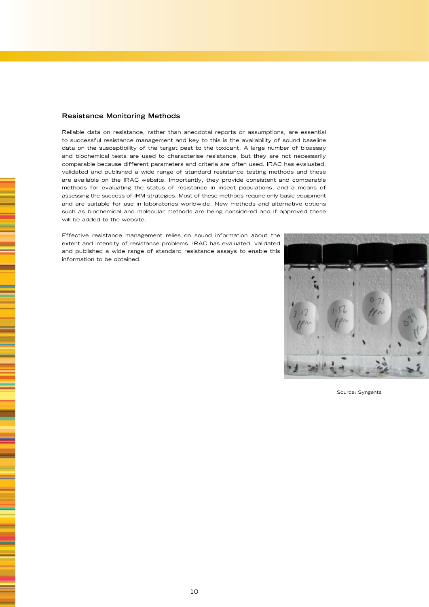#### **Resistance Monitoring Methods**

Reliable data on resistance, rather than anecdotal reports or assumptions, are essential to successful resistance management and key to this is the availability of sound baseline data on the susceptibility of the target pest to the toxicant. A large number of bioassay and biochemical tests are used to characterise resistance, but they are not necessarily comparable because different parameters and criteria are often used. IRAC has evaluated, validated and published a wide range of standard resistance testing methods and these are available on the IRAC website. Importantly, they provide consistent and comparable methods for evaluating the status of resistance in insect populations, and a means of assessing the success of IRM strategies. Most of these methods require only basic equipment and are suitable for use in laboratories worldwide. New methods and alternative options such as biochemical and molecular methods are being considered and if approved these will be added to the website.

Effective resistance management relies on sound information about the extent and intensity of resistance problems. IRAC has evaluated, validated and published a wide range of standard resistance assays to enable this information to be obtained.

![](_page_9_Picture_3.jpeg)

Source: Syngenta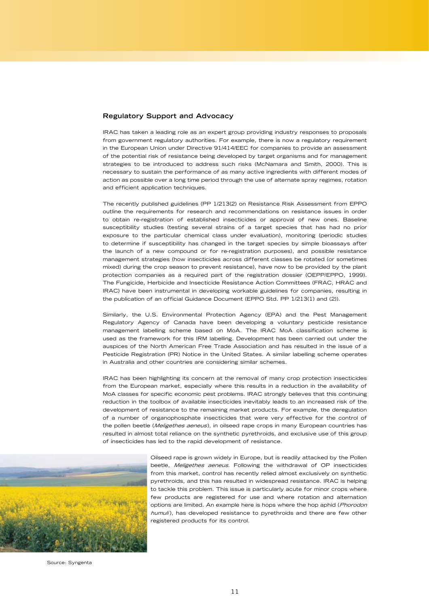#### **Regulatory Support and Advocacy**

IRAC has taken a leading role as an expert group providing industry responses to proposals from government regulatory authorities. For example, there is now a regulatory requirement in the European Union under Directive 91/414/EEC for companies to provide an assessment of the potential risk of resistance being developed by target organisms and for management strategies to be introduced to address such risks (McNamara and Smith, 2000). This is necessary to sustain the performance of as many active ingredients with different modes of action as possible over a long time period through the use of alternate spray regimes, rotation and efficient application techniques.

The recently published guidelines (PP 1/213(2) on Resistance Risk Assessment from EPPO outline the requirements for research and recommendations on resistance issues in order to obtain re-registration of established insecticides or approval of new ones. Baseline susceptibility studies (testing several strains of a target species that has had no prior exposure to the particular chemical class under evaluation), monitoring (periodic studies to determine if susceptibility has changed in the target species by simple bioassays after the launch of a new compound or for re-registration purposes), and possible resistance management strategies (how insecticides across different classes be rotated (or sometimes mixed) during the crop season to prevent resistance), have now to be provided by the plant protection companies as a required part of the registration dossier (OEPP/EPPO, 1999). The Fungicide, Herbicide and Insecticide Resistance Action Committees (FRAC, HRAC and IRAC) have been instrumental in developing workable guidelines for companies, resulting in the publication of an official Guidance Document (EPPO Std. PP 1/213(1) and (2)).

Similarly, the U.S. Environmental Protection Agency (EPA) and the Pest Management Regulatory Agency of Canada have been developing a voluntary pesticide resistance management labelling scheme based on MoA. The IRAC MoA classification scheme is used as the framework for this IRM labelling. Development has been carried out under the auspices of the North American Free Trade Association and has resulted in the issue of a Pesticide Registration (PR) Notice in the United States. A similar labelling scheme operates in Australia and other countries are considering similar schemes.

IRAC has been highlighting its concern at the removal of many crop protection insecticides from the European market, especially where this results in a reduction in the availability of MoA classes for specific economic pest problems. IRAC strongly believes that this continuing reduction in the toolbox of available insecticides inevitably leads to an increased risk of the development of resistance to the remaining market products. For example, the deregulation of a number of organophosphate insecticides that were very effective for the control of the pollen beetle (Meligethes aeneus), in oilseed rape crops in many European countries has resulted in almost total reliance on the synthetic pyrethroids, and exclusive use of this group of insecticides has led to the rapid development of resistance.

![](_page_10_Picture_5.jpeg)

Oilseed rape is grown widely in Europe, but is readily attacked by the Pollen beetle, Meligethes aeneus. Following the withdrawal of OP insecticides from this market, control has recently relied almost exclusively on synthetic pyrethroids, and this has resulted in widespread resistance. IRAC is helping to tackle this problem. This issue is particularly acute for minor crops where few products are registered for use and where rotation and alternation options are limited. An example here is hops where the hop aphid (Phorodon humuli), has developed resistance to pyrethroids and there are few other registered products for its control.

Source: Syngenta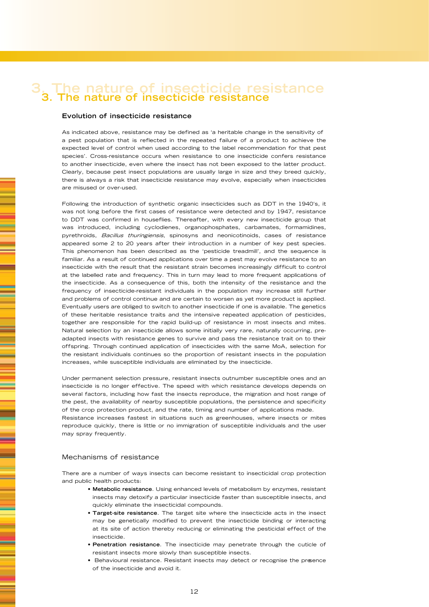### **3. The nature of insecticide resistance 3. The nature of insecticide resistance**

#### **Evolution of insecticide resistance**

As indicated above, resistance may be defined as 'a heritable change in the sensitivity of a pest population that is reflected in the repeated failure of a product to achieve the expected level of control when used according to the label recommendation for that pest species'. Cross-resistance occurs when resistance to one insecticide confers resistance to another insecticide, even where the insect has not been exposed to the latter product. Clearly, because pest insect populations are usually large in size and they breed quickly, there is always a risk that insecticide resistance may evolve, especially when insecticides are misused or over-used.

Following the introduction of synthetic organic insecticides such as DDT in the 1940's, it was not long before the first cases of resistance were detected and by 1947, resistance to DDT was confirmed in houseflies. Thereafter, with every new insecticide group that was introduced, including cyclodienes, organophosphates, carbamates, formamidines, pyrethroids, Bacillus thuringiensis, spinosyns and neonicotinoids, cases of resistance appeared some 2 to 20 years after their introduction in a number of key pest species. This phenomenon has been described as the 'pesticide treadmill', and the sequence is familiar. As a result of continued applications over time a pest may evolve resistance to an insecticide with the result that the resistant strain becomes increasingly difficult to control at the labelled rate and frequency. This in turn may lead to more frequent applications of the insecticide. As a consequence of this, both the intensity of the resistance and the frequency of insecticide-resistant individuals in the population may increase still further and problems of control continue and are certain to worsen as yet more product is applied. Eventually users are obliged to switch to another insecticide if one is available. The genetics of these heritable resistance traits and the intensive repeated application of pesticides, together are responsible for the rapid build-up of resistance in most insects and mites. Natural selection by an insecticide allows some initially very rare, naturally occurring, preadapted insects with resistance genes to survive and pass the resistance trait on to their offspring. Through continued application of insecticides with the same MoA, selection for the resistant individuals continues so the proportion of resistant insects in the population increases, while susceptible individuals are eliminated by the insecticide.

Under permanent selection pressure, resistant insects outnumber susceptible ones and an insecticide is no longer effective. The speed with which resistance develops depends on several factors, including how fast the insects reproduce, the migration and host range of the pest, the availability of nearby susceptible populations, the persistence and specificity of the crop protection product, and the rate, timing and number of applications made. Resistance increases fastest in situations such as greenhouses, where insects or mites reproduce quickly, there is little or no immigration of susceptible individuals and the user may spray frequently.

#### Mechanisms of resistance

There are a number of ways insects can become resistant to insecticidal crop protection and public health products:

- **Metabolic resistance**. Using enhanced levels of metabolism by enzymes, resistant insects may detoxify a particular insecticide faster than susceptible insects, and quickly eliminate the insecticidal compounds.
- **Target-site resistance**. The target site where the insecticide acts in the insect may be genetically modified to prevent the insecticide binding or interacting at its site of action thereby reducing or eliminating the pesticidal effect of the insecticide.
- **Penetration resistance**. The insecticide may penetrate through the cuticle of resistant insects more slowly than susceptible insects.
- Behavioural resistance. Resistant insects may detect or recognise the presence of the insecticide and avoid it.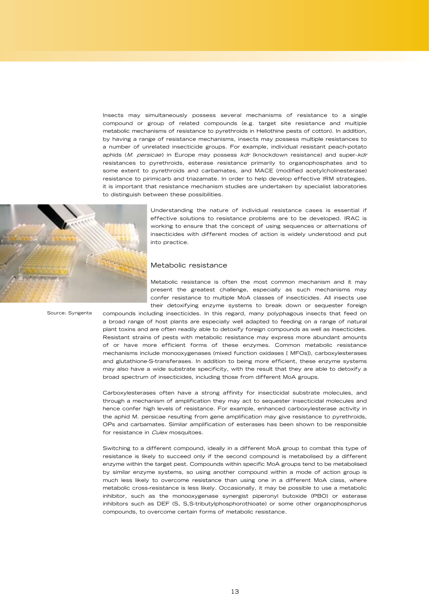Insects may simultaneously possess several mechanisms of resistance to a single compound or group of related compounds (e.g. target site resistance and multiple metabolic mechanisms of resistance to pyrethroids in Heliothine pests of cotton). In addition, by having a range of resistance mechanisms, insects may possess multiple resistances to a number of unrelated insecticide groups. For example, individual resistant peach-potato aphids (M. persicae) in Europe may possess kdr (knockdown resistance) and super-kdr resistances to pyrethroids, esterase resistance primarily to organophosphates and to some extent to pyrethroids and carbamates, and MACE (modified acetylcholinesterase) resistance to pirimicarb and triazamate. In order to help develop effective IRM strategies, it is important that resistance mechanism studies are undertaken by specialist laboratories to distinguish between these possibilities.

![](_page_12_Picture_1.jpeg)

Source: Syngenta

Understanding the nature of individual resistance cases is essential if effective solutions to resistance problems are to be developed. IRAC is working to ensure that the concept of using sequences or alternations of insecticides with different modes of action is widely understood and put into practice.

#### Metabolic resistance

Metabolic resistance is often the most common mechanism and it may present the greatest challenge, especially as such mechanisms may confer resistance to multiple MoA classes of insecticides. All insects use their detoxifying enzyme systems to break down or sequester foreign

compounds including insecticides. In this regard, many polyphagous insects that feed on a broad range of host plants are especially well adapted to feeding on a range of natural plant toxins and are often readily able to detoxify foreign compounds as well as insecticides. Resistant strains of pests with metabolic resistance may express more abundant amounts of or have more efficient forms of these enzymes. Common metabolic resistance mechanisms include monooxygenases (mixed function oxidases [ MFOs]), carboxylesterases and glutathione-S-transferases. In addition to being more efficient, these enzyme systems may also have a wide substrate specificity, with the result that they are able to detoxify a broad spectrum of insecticides, including those from different MoA groups.

Carboxylesterases often have a strong affinity for insecticidal substrate molecules, and through a mechanism of amplification they may act to sequester insecticidal molecules and hence confer high levels of resistance. For example, enhanced carboxylesterase activity in the aphid M. persicae resulting from gene amplification may give resistance to pyrethroids, OPs and carbamates. Similar amplification of esterases has been shown to be responsible for resistance in Culex mosquitoes.

Switching to a different compound, ideally in a different MoA group to combat this type of resistance is likely to succeed only if the second compound is metabolised by a different enzyme within the target pest. Compounds within specific MoA groups tend to be metabolised by similar enzyme systems, so using another compound within a mode of action group is much less likely to overcome resistance than using one in a different MoA class, where metabolic cross-resistance is less likely. Occasionally, it may be possible to use a metabolic inhibitor, such as the monooxygenase synergist piperonyl butoxide (PBO) or esterase inhibitors such as DEF (S, S,S-tributylphosphorothioate) or some other organophosphorus compounds, to overcome certain forms of metabolic resistance.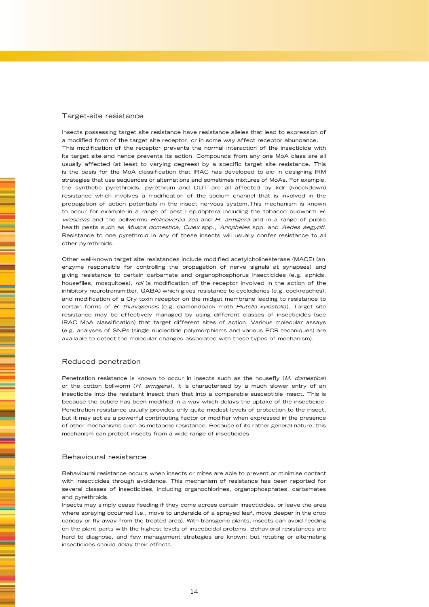#### Target-site resistance

Insects possessing target site resistance have resistance alleles that lead to expression of a modified form of the target site receptor, or in some way affect receptor abundance. This modification of the receptor prevents the normal interaction of the insecticide with its target site and hence prevents its action. Compounds from any one MoA class are all usually affected (at least to varying degrees) by a specific target site resistance. This is the basis for the MoA classification that IRAC has developed to aid in designing IRM strategies that use sequences or alternations and sometimes mixtures of MoAs. For example, the synthetic pyrethroids, pyrethrum and DDT are all affected by kdr (knockdown) resistance which involves a modification of the sodium channel that is involved in the propagation of action potentials in the insect nervous system.This mechanism is known to occur for example in a range of pest Lepidoptera including the tobacco budworm H. virescens and the bollworms Helicoverpa zea and H. armigera and in a range of public health pests such as Musca domestica, Culex spp., Anopheles spp. and Aedes aegypti. Resistance to one pyrethroid in any of these insects will usually confer resistance to all other pyrethroids.

Other well-known target site resistances include modified acetylcholinesterase (MACE) (an enzyme responsible for controlling the propagation of nerve signals at synapses) and giving resistance to certain carbamate and organophosphorus insecticides (e.g. aphids, houseflies, mosquitoes), rdl (a modification of the receptor involved in the action of the inhibitory neurotransmitter, GABA) which gives resistance to cyclodienes (e.g. cockroaches), and modification of a Cry toxin receptor on the midgut membrane leading to resistance to certain forms of B. thuringiensis (e.g. diamondback moth Plutella xylostella). Target site resistance may be effectively managed by using different classes of insecticides (see IRAC MoA classification) that target different sites of action. Various molecular assays (e.g. analyses of SNPs (single nucleotide polymorphisms and various PCR techniques) are available to detect the molecular changes associated with these types of mechanism).

#### Reduced penetration

Penetration resistance is known to occur in insects such as the housefly (M. domestica) or the cotton bollworm  $(H.$  armigera). It is characterised by a much slower entry of an insecticide into the resistant insect than that into a comparable susceptible insect. This is because the cuticle has been modified in a way which delays the uptake of the insecticide. Penetration resistance usually provides only quite modest levels of protection to the insect, but it may act as a powerful contributing factor or modifier when expressed in the presence of other mechanisms such as metabolic resistance. Because of its rather general nature, this mechanism can protect insects from a wide range of insecticides.

#### Behavioural resistance

Behavioural resistance occurs when insects or mites are able to prevent or minimise contact with insecticides through avoidance. This mechanism of resistance has been reported for several classes of insecticides, including organochlorines, organophosphates, carbamates and pyrethroids.

Insects may simply cease feeding if they come across certain insecticides, or leave the area where spraying occurred (i.e., move to underside of a sprayed leaf, move deeper in the crop canopy or fly away from the treated area). With transgenic plants, insects can avoid feeding on the plant parts with the highest levels of insecticidal proteins. Behavioral resistances are hard to diagnose, and few management strategies are known; but rotating or alternating insecticides should delay their effects.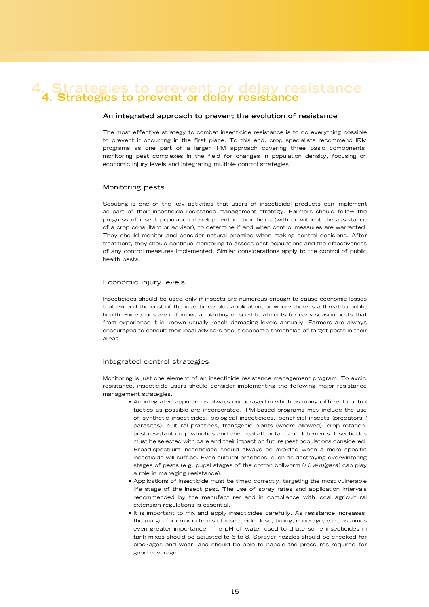# **4. Strategies to prevent or delay resistance 4. Strategies to prevent or delay resistance**

#### **An integrated approach to prevent the evolution of resistance**

The most effective strategy to combat insecticide resistance is to do everything possible to prevent it occurring in the first place. To this end, crop specialists recommend IRM programs as one part of a larger IPM approach covering three basic components: monitoring pest complexes in the field for changes in population density, focusing on economic injury levels and integrating multiple control strategies.

#### Monitoring pests

Scouting is one of the key activities that users of insecticidal products can implement as part of their insecticide resistance management strategy. Farmers should follow the progress of insect population development in their fields (with or without the assistance of a crop consultant or advisor), to determine if and when control measures are warranted. They should monitor and consider natural enemies when making control decisions. After treatment, they should continue monitoring to assess pest populations and the effectiveness of any control measures implemented. Similar considerations apply to the control of public health pests.

#### Economic injury levels

Insecticides should be used only if insects are numerous enough to cause economic losses that exceed the cost of the insecticide plus application, or where there is a threat to public health. Exceptions are in-furrow, at-planting or seed treatments for early season pests that from experience it is known usually reach damaging levels annually. Farmers are always encouraged to consult their local advisors about economic thresholds of target pests in their areas.

#### Integrated control strategies

Monitoring is just one element of an insecticide resistance management program. To avoid resistance, insecticide users should consider implementing the following major resistance management strategies.

- An integrated approach is always encouraged in which as many different control tactics as possible are incorporated. IPM-based programs may include the use of synthetic insecticides, biological insecticides, beneficial insects (predators / parasites), cultural practices, transgenic plants (where allowed), crop rotation, pest-resistant crop varieties and chemical attractants or deterrents. Insecticides must be selected with care and their impact on future pest populations considered. Broad-spectrum insecticides should always be avoided when a more specific insecticide will suffice. Even cultural practices, such as destroying overwintering stages of pests (e.g. pupal stages of the cotton bollworm (H. armigera) can play a role in managing resistance).
- Applications of insecticide must be timed correctly, targeting the most vulnerable life stage of the insect pest. The use of spray rates and application intervals recommended by the manufacturer and in compliance with local agricultural extension regulations is essential.
- It is important to mix and apply insecticides carefully. As resistance increases, the margin for error in terms of insecticide dose, timing, coverage, etc., assumes even greater importance. The pH of water used to dilute some insecticides in tank mixes should be adjusted to 6 to 8. Sprayer nozzles should be checked for blockages and wear, and should be able to handle the pressures required for good coverage.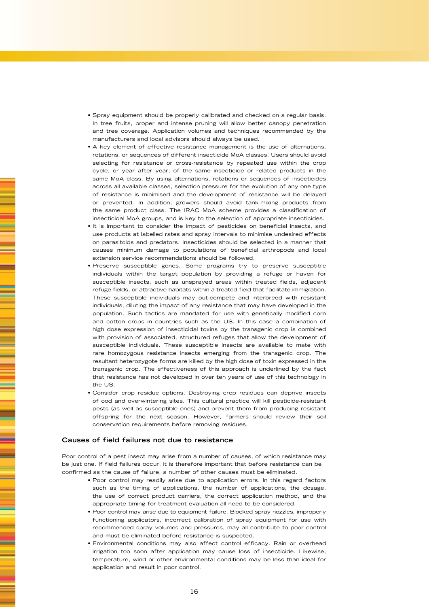- Spray equipment should be properly calibrated and checked on a regular basis. In tree fruits, proper and intense pruning will allow better canopy penetration and tree coverage. Application volumes and techniques recommended by the manufacturers and local advisors should always be used.
- A key element of effective resistance management is the use of alternations, rotations, or sequences of different insecticide MoA classes. Users should avoid selecting for resistance or cross-resistance by repeated use within the crop cycle, or year after year, of the same insecticide or related products in the same MoA class. By using alternations, rotations or sequences of insecticides across all available classes, selection pressure for the evolution of any one type of resistance is minimised and the development of resistance will be delayed or prevented. In addition, growers should avoid tank-mixing products from the same product class. The IRAC MoA scheme provides a classification of insecticidal MoA groups, and is key to the selection of appropriate insecticides.
- It is important to consider the impact of pesticides on beneficial insects, and use products at labelled rates and spray intervals to minimise undesired effects on parasitoids and predators. Insecticides should be selected in a manner that causes minimum damage to populations of beneficial arthropods and local extension service recommendations should be followed.
- Preserve susceptible genes. Some programs try to preserve susceptible individuals within the target population by providing a refuge or haven for susceptible insects, such as unsprayed areas within treated fields, adjacent refuge fields, or attractive habitats within a treated field that facilitate immigration. These susceptible individuals may out-compete and interbreed with resistant individuals, diluting the impact of any resistance that may have developed in the population. Such tactics are mandated for use with genetically modified corn and cotton crops in countries such as the US. In this case a combination of high dose expression of insecticidal toxins by the transgenic crop is combined with provision of associated, structured refuges that allow the development of susceptible individuals. These susceptible insects are available to mate with rare homozygous resistance insects emerging from the transgenic crop. The resultant heterozygote forms are killed by the high dose of toxin expressed in the transgenic crop. The effectiveness of this approach is underlined by the fact that resistance has not developed in over ten years of use of this technology in the US.
- Consider crop residue options. Destroying crop residues can deprive insects of ood and overwintering sites. This cultural practice will kill pesticide-resistant pests (as well as susceptible ones) and prevent them from producing resistant offspring for the next season. However, farmers should review their soil conservation requirements before removing residues.

#### **Causes of field failures not due to resistance**

Poor control of a pest insect may arise from a number of causes, of which resistance may be just one. If field failures occur, it is therefore important that before resistance can be confirmed as the cause of failure, a number of other causes must be eliminated.

- Poor control may readily arise due to application errors. In this regard factors such as the timing of applications, the number of applications, the dosage, the use of correct product carriers, the correct application method, and the appropriate timing for treatment evaluation all need to be considered.
- Poor control may arise due to equipment failure. Blocked spray nozzles, improperly functioning applicators, incorrect calibration of spray equipment for use with recommended spray volumes and pressures, may all contribute to poor control and must be eliminated before resistance is suspected.
- Environmental conditions may also affect control efficacy. Rain or overhead irrigation too soon after application may cause loss of insecticide. Likewise, temperature, wind or other environmental conditions may be less than ideal for application and result in poor control.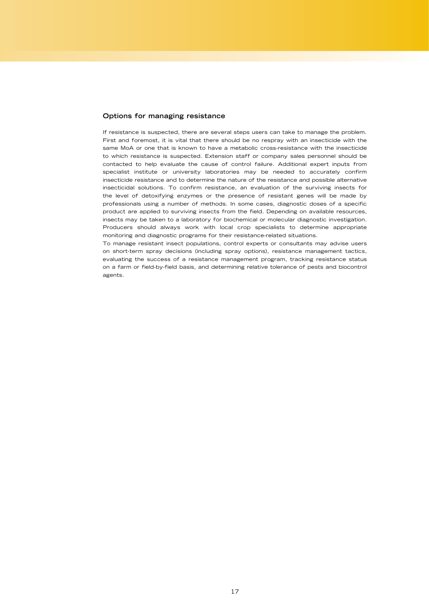#### **Options for managing resistance**

If resistance is suspected, there are several steps users can take to manage the problem. First and foremost, it is vital that there should be no respray with an insecticide with the same MoA or one that is known to have a metabolic cross-resistance with the insecticide to which resistance is suspected. Extension staff or company sales personnel should be contacted to help evaluate the cause of control failure. Additional expert inputs from specialist institute or university laboratories may be needed to accurately confirm insecticide resistance and to determine the nature of the resistance and possible alternative insecticidal solutions. To confirm resistance, an evaluation of the surviving insects for the level of detoxifying enzymes or the presence of resistant genes will be made by professionals using a number of methods. In some cases, diagnostic doses of a specific product are applied to surviving insects from the field. Depending on available resources, insects may be taken to a laboratory for biochemical or molecular diagnostic investigation. Producers should always work with local crop specialists to determine appropriate monitoring and diagnostic programs for their resistance-related situations.

To manage resistant insect populations, control experts or consultants may advise users on short-term spray decisions (including spray options), resistance management tactics, evaluating the success of a resistance management program, tracking resistance status on a farm or field-by-field basis, and determining relative tolerance of pests and biocontrol agents.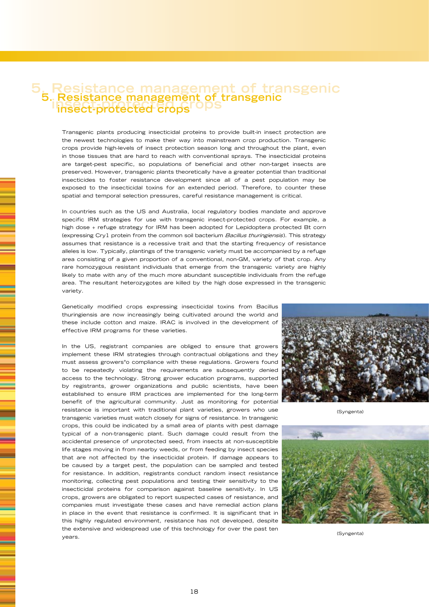### **5. Resistance management of transgenic insect-protected crops 5. Resistance management of transgenic insect-protected crops**

Transgenic plants producing insecticidal proteins to provide built-in insect protection are the newest technologies to make their way into mainstream crop production. Transgenic crops provide high-levels of insect protection season long and throughout the plant, even in those tissues that are hard to reach with conventional sprays. The insecticidal proteins are target-pest specific, so populations of beneficial and other non-target insects are preserved. However, transgenic plants theoretically have a greater potential than traditional insecticides to foster resistance development since all of a pest population may be exposed to the insecticidal toxins for an extended period. Therefore, to counter these spatial and temporal selection pressures, careful resistance management is critical.

In countries such as the US and Australia, local regulatory bodies mandate and approve specific IRM strategies for use with transgenic insect-protected crops. For example, a high dose + refuge strategy for IRM has been adopted for Lepidoptera protected Bt corn (expressing Cry1 protein from the common soil bacterium *Bacillus thuringiensis*). This strategy assumes that resistance is a recessive trait and that the starting frequency of resistance alleles is low. Typically, plantings of the transgenic variety must be accompanied by a refuge area consisting of a given proportion of a conventional, non-GM, variety of that crop. Any rare homozygous resistant individuals that emerge from the transgenic variety are highly likely to mate with any of the much more abundant susceptible individuals from the refuge area. The resultant heterozygotes are killed by the high dose expressed in the transgenic variety.

Genetically modified crops expressing insecticidal toxins from Bacillus thuringiensis are now increasingly being cultivated around the world and these include cotton and maize. IRAC is involved in the development of effective IRM programs for these varieties.

In the US, registrant companies are obliged to ensure that growers implement these IRM strategies through contractual obligations and they must assess growers°o compliance with these regulations. Growers found to be repeatedly violating the requirements are subsequently denied access to the technology. Strong grower education programs, supported by registrants, grower organizations and public scientists, have been established to ensure IRM practices are implemented for the long-term benefit of the agricultural community. Just as monitoring for potential resistance is important with traditional plant varieties, growers who use transgenic varieties must watch closely for signs of resistance. In transgenic crops, this could be indicated by a small area of plants with pest damage typical of a non-transgenic plant. Such damage could result from the accidental presence of unprotected seed, from insects at non-susceptible life stages moving in from nearby weeds, or from feeding by insect species that are not affected by the insecticidal protein. If damage appears to be caused by a target pest, the population can be sampled and tested for resistance. In addition, registrants conduct random insect resistance monitoring, collecting pest populations and testing their sensitivity to the insecticidal proteins for comparison against baseline sensitivity. In US crops, growers are obligated to report suspected cases of resistance, and companies must investigate these cases and have remedial action plans in place in the event that resistance is confirmed. It is significant that in this highly regulated environment, resistance has not developed, despite the extensive and widespread use of this technology for over the past ten years.

![](_page_17_Picture_5.jpeg)

(Syngenta)

![](_page_17_Picture_7.jpeg)

(Syngenta)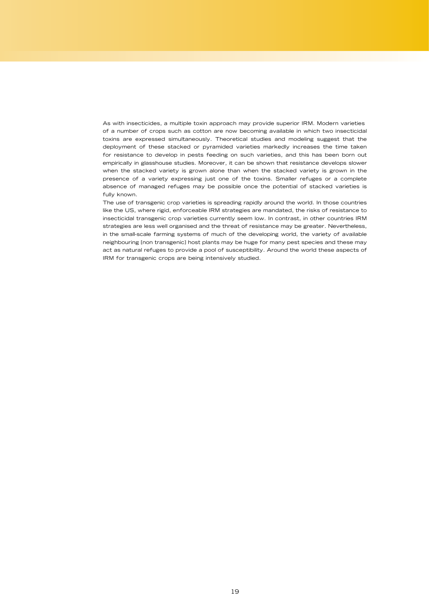As with insecticides, a multiple toxin approach may provide superior IRM. Modern varieties of a number of crops such as cotton are now becoming available in which two insecticidal toxins are expressed simultaneously. Theoretical studies and modeling suggest that the deployment of these stacked or pyramided varieties markedly increases the time taken for resistance to develop in pests feeding on such varieties, and this has been born out empirically in glasshouse studies. Moreover, it can be shown that resistance develops slower when the stacked variety is grown alone than when the stacked variety is grown in the presence of a variety expressing just one of the toxins. Smaller refuges or a complete absence of managed refuges may be possible once the potential of stacked varieties is fully known.

The use of transgenic crop varieties is spreading rapidly around the world. In those countries like the US, where rigid, enforceable IRM strategies are mandated, the risks of resistance to insecticidal transgenic crop varieties currently seem low. In contrast, in other countries IRM strategies are less well organised and the threat of resistance may be greater. Nevertheless, in the small-scale farming systems of much of the developing world, the variety of available neighbouring [non transgenic] host plants may be huge for many pest species and these may act as natural refuges to provide a pool of susceptibility. Around the world these aspects of IRM for transgenic crops are being intensively studied.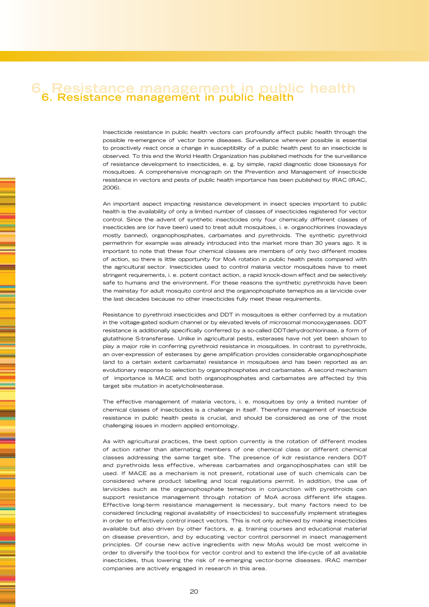# **6. Resistance management in public health 6. Resistance management in public health**

Insecticide resistance in public health vectors can profoundly affect public health through the possible re-emergence of vector borne diseases. Surveillance wherever possible is essential to proactively react once a change in susceptibility of a public health pest to an insecticide is observed. To this end the World Health Organization has published methods for the surveillance of resistance development to insecticides, e. g. by simple, rapid diagnostic dose bioassays for mosquitoes. A comprehensive monograph on the Prevention and Management of insecticide resistance in vectors and pests of public health importance has been published by IRAC (IRAC, 2006).

An important aspect impacting resistance development in insect species important to public health is the availability of only a limited number of classes of insecticides registered for vector control. Since the advent of synthetic insecticides only four chemically different classes of insecticides are (or have been) used to treat adult mosquitoes, i. e. organochlorines (nowadays mostly banned), organophosphates, carbamates and pyrethroids. The synthetic pyrethroid permethrin for example was already introduced into the market more than 30 years ago. It is important to note that these four chemical classes are members of only two different modes of action, so there is little opportunity for MoA rotation in public health pests compared with the agricultural sector. Insecticides used to control malaria vector mosquitoes have to meet stringent requirements, i. e. potent contact action, a rapid knock-down effect and be selectively safe to humans and the environment. For these reasons the synthetic pyrethroids have been the mainstay for adult mosquito control and the organophosphate temephos as a larvicide over the last decades because no other insecticides fully meet these requirements.

Resistance to pyrethroid insecticides and DDT in mosquitoes is either conferred by a mutation in the voltage-gated sodium channel or by elevated levels of microsomal monooxygenases. DDT resistance is additionally specifically conferred by a so-called DDTdehydrochlorinase, a form of glutathione S-transferase. Unlike in agricultural pests, esterases have not yet been shown to play a major role in conferring pyrethroid resistance in mosquitoes. In contrast to pyrethroids, an over-expression of esterases by gene amplification provides considerable organophosphate (and to a certain extent carbamate) resistance in mosquitoes and has been reported as an evolutionary response to selection by organophosphates and carbamates. A second mechanism of importance is MACE and both organophosphates and carbamates are affected by this target site mutation in acetylcholinesterase.

The effective management of malaria vectors, i. e. mosquitoes by only a limited number of chemical classes of insecticides is a challenge in itself. Therefore management of insecticide resistance in public health pests is crucial, and should be considered as one of the most challenging issues in modern applied entomology.

As with agricultural practices, the best option currently is the rotation of different modes of action rather than alternating members of one chemical class or different chemical classes addressing the same target site. The presence of kdr resistance renders DDT and pyrethroids less effective, whereas carbamates and organophosphates can still be used. If MACE as a mechanism is not present, rotational use of such chemicals can be considered where product labelling and local regulations permit. In addition, the use of larvicides such as the organophosphate temephos in conjunction with pyrethroids can support resistance management through rotation of MoA across different life stages. Effective long-term resistance management is necessary, but many factors need to be considered (including regional availability of insecticides) to successfully implement strategies in order to effectively control insect vectors. This is not only achieved by making insecticides available but also driven by other factors, e. g. training courses and educational material on disease prevention, and by educating vector control personnel in insect management principles. Of course new active ingredients with new MoAs would be most welcome in order to diversify the tool-box for vector control and to extend the life-cycle of all available insecticides, thus lowering the risk of re-emerging vector-borne diseases. IRAC member companies are actively engaged in research in this area.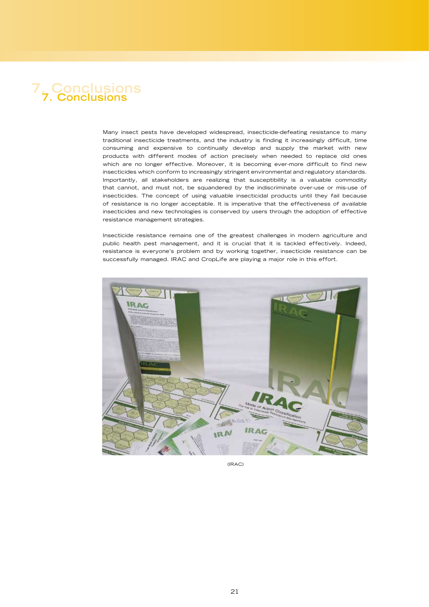### **7. Conclusions 7. Conclusions**

Many insect pests have developed widespread, insecticide-defeating resistance to many traditional insecticide treatments, and the industry is finding it increasingly difficult, time consuming and expensive to continually develop and supply the market with new products with different modes of action precisely when needed to replace old ones which are no longer effective. Moreover, it is becoming ever-more difficult to find new insecticides which conform to increasingly stringent environmental and regulatory standards. Importantly, all stakeholders are realizing that susceptibility is a valuable commodity that cannot, and must not, be squandered by the indiscriminate over-use or mis-use of insecticides. The concept of using valuable insecticidal products until they fail because of resistance is no longer acceptable. It is imperative that the effectiveness of available insecticides and new technologies is conserved by users through the adoption of effective resistance management strategies.

Insecticide resistance remains one of the greatest challenges in modern agriculture and public health pest management, and it is crucial that it is tackled effectively. Indeed, resistance is everyone's problem and by working together, insecticide resistance can be successfully managed. IRAC and CropLife are playing a major role in this effort.

![](_page_20_Picture_3.jpeg)

(IRAC)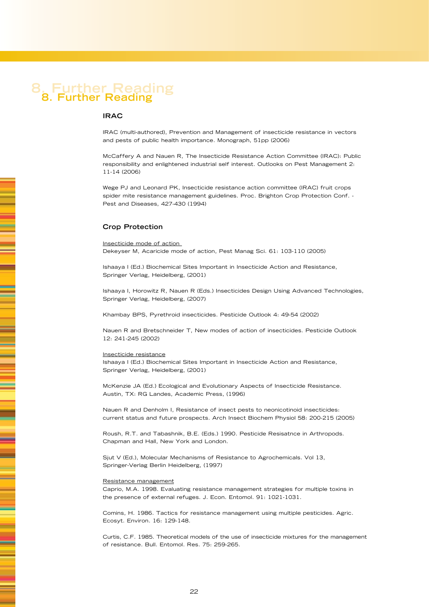# **8. Further Reading 8. Further Reading**

#### **IRAC**

IRAC (multi-authored), Prevention and Management of insecticide resistance in vectors and pests of public health importance. Monograph, 51pp (2006)

McCaffery A and Nauen R, The Insecticide Resistance Action Committee (IRAC): Public responsibility and enlightened industrial self interest. Outlooks on Pest Management 2: 11-14 (2006)

Wege PJ and Leonard PK, Insecticide resistance action committee (IRAC) fruit crops spider mite resistance management guidelines. Proc. Brighton Crop Protection Conf. - Pest and Diseases, 427-430 (1994)

#### **Crop Protection**

#### Insecticide mode of action

Dekeyser M, Acaricide mode of action, Pest Manag Sci. 61: 103-110 (2005)

Ishaaya I (Ed.) Biochemical Sites Important in Insecticide Action and Resistance, Springer Verlag, Heidelberg, (2001)

Ishaaya I, Horowitz R, Nauen R (Eds.) Insecticides Design Using Advanced Technologies, Springer Verlag, Heidelberg, (2007)

Khambay BPS, Pyrethroid insecticides. Pesticide Outlook 4: 49-54 (2002)

Nauen R and Bretschneider T, New modes of action of insecticides. Pesticide Outlook 12: 241-245 (2002)

#### Insecticide resistance

Ishaaya I (Ed.) Biochemical Sites Important in Insecticide Action and Resistance, Springer Verlag, Heidelberg, (2001)

McKenzie JA (Ed.) Ecological and Evolutionary Aspects of Insecticide Resistance. Austin, TX: RG Landes, Academic Press, (1996)

Nauen R and Denholm I, Resistance of insect pests to neonicotinoid insecticides: current status and future prospects. Arch Insect Biochem Physiol 58: 200-215 (2005)

Roush, R.T. and Tabashnik, B.E. (Eds.) 1990. Pesticide Resisatnce in Arthropods. Chapman and Hall, New York and London.

Sjut V (Ed.), Molecular Mechanisms of Resistance to Agrochemicals. Vol 13, Springer-Verlag Berlin Heidelberg, (1997)

#### Resistance management

Caprio, M.A. 1998. Evaluating resistance management strategies for multiple toxins in the presence of external refuges. J. Econ. Entomol. 91: 1021-1031.

Comins, H. 1986. Tactics for resistance management using multiple pesticides. Agric. Ecosyt. Environ. 16: 129-148.

Curtis, C.F. 1985. Theoretical models of the use of insecticide mixtures for the management of resistance. Bull. Entomol. Res. 75: 259-265.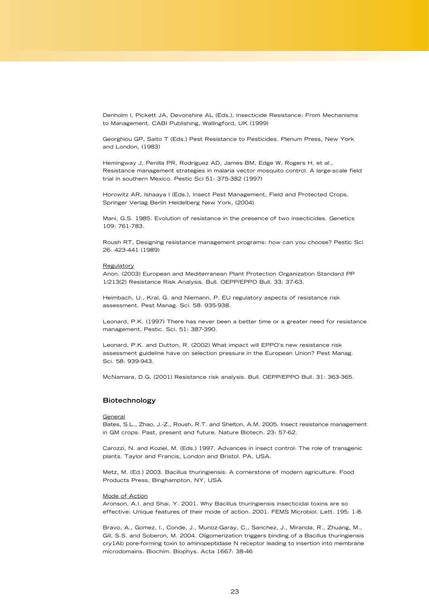Denholm I, Pickett JA, Devonshire AL (Eds.), Insecticide Resistance: From Mechanisms to Management. CABI Publishing, Wallingford, UK (1999)

Georghiou GP, Saito T (Eds.) Pest Resistance to Pesticides. Plenum Press, New York and London, (1983)

Hemingway J, Penilla PR, Rodriguez AD, James BM, Edge W, Rogers H, et al., Resistance management strategies in malaria vector mosquito control. A large-scale field trial in southern Mexico. Pestic Sci 51: 375-382 (1997)

Horowitz AR, Ishaaya I (Eds.), Insect Pest Management, Field and Protected Crops. Springer Verlag Berlin Heidelberg New York, (2004)

Mani, G.S. 1985. Evolution of resistance in the presence of two insecticides. Genetics 109: 761-783.

Roush RT, Designing resistance management programs: how can you choose? Pestic Sci 26: 423-441 (1989)

#### **Regulatory**

Anon. (2003) European and Mediterranean Plant Protection Organization Standard PP 1/213(2) Resistance Risk Analysis. Bull. OEPP/EPPO Bull. 33: 37-63.

Heimbach, U., Kral, G. and Niemann, P. EU regulatory aspects of resistance risk assessment. Pest Manag. Sci. 58: 935-938.

Leonard, P.K. (1997) There has never been a better time or a greater need for resistance management. Pestic. Sci. 51: 387-390.

Leonard, P.K. and Dutton, R. (2002) What impact will EPPO's new resistance risk assessment guideline have on selection pressure in the European Union? Pest Manag. Sci. 58: 939-943.

McNamara, D.G. (2001) Resistance risk analysis. Bull. OEPP/EPPO Bull. 31: 363-365.

#### **Biotechnology**

#### General

Bates, S.L., Zhao, J.-Z., Roush, R.T. and Shelton, A.M. 2005. Insect resistance management in GM crops: Past, present and future. Nature Biotech. 23: 57-62.

Carozzi, N. and Koziel, M. (Eds.) 1997. Advances in insect control: The role of transgenic plants. Taylor and Francis, London and Bristol. PA, USA.

Metz, M. (Ed.) 2003. Bacillus thuringiensis: A cornerstone of modern agriculture. Food Products Press, Binghampton, NY, USA.

#### Mode of Action

Aronson, A.I. and Shai, Y. 2001. Why Bacillus thuringiensis insecticidal toxins are so effective: Unique features of their mode of action. 2001. FEMS Microbiol. Lett. 195: 1-8.

Bravo, A., Gomez, I., Conde, J., Munoz-Garay, C., Sanchez, J., Miranda, R., Zhuang, M., Gill, S.S. and Soberon, M. 2004. Oligomerization triggers binding of a Bacillus thuringiensis cry1Ab pore-forming toxin to aminopeptidase N receptor leading to insertion into membrane microdomains. Biochim. Biophys. Acta 1667: 38-46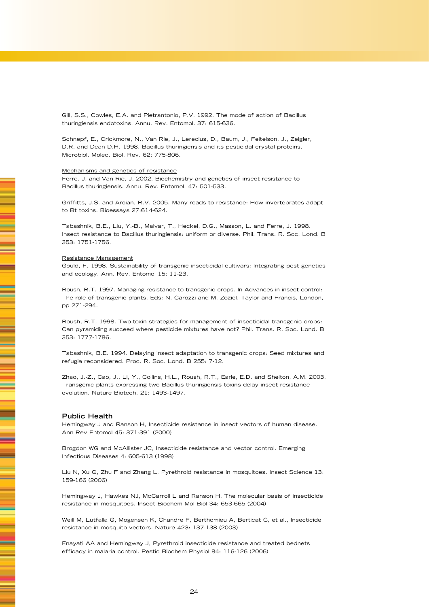Gill, S.S., Cowles, E.A. and Pietrantonio, P.V. 1992. The mode of action of Bacillus thuringiensis endotoxins. Annu. Rev. Entomol. 37: 615-636.

Schnepf, E., Crickmore, N., Van Rie, J., Lereclus, D., Baum, J., Feitelson, J., Zeigler, D.R. and Dean D.H. 1998. Bacillus thuringiensis and its pesticidal crystal proteins. Microbiol. Molec. Biol. Rev. 62: 775-806.

#### Mechanisms and genetics of resistance

Ferre. J. and Van Rie, J. 2002. Biochemistry and genetics of insect resistance to Bacillus thuringiensis. Annu. Rev. Entomol. 47: 501-533.

Griffitts, J.S. and Aroian, R.V. 2005. Many roads to resistance: How invertebrates adapt to Bt toxins. Bioessays 27:614-624.

Tabashnik, B.E., Liu, Y.-B., Malvar, T., Heckel, D.G., Masson, L. and Ferre, J. 1998. Insect resistance to Bacillus thuringiensis: uniform or diverse. Phil. Trans. R. Soc. Lond. B 353: 1751-1756.

#### Resistance Management

Gould, F. 1998. Sustainability of transgenic insecticidal cultivars: Integrating pest genetics and ecology. Ann. Rev. Entomol 15: 11-23.

Roush, R.T. 1997. Managing resistance to transgenic crops. In Advances in insect control: The role of transgenic plants. Eds: N. Carozzi and M. Zoziel. Taylor and Francis, London, pp 271-294.

Roush, R.T. 1998. Two-toxin strategies for management of insecticidal transgenic crops: Can pyramiding succeed where pesticide mixtures have not? Phil. Trans. R. Soc. Lond. B 353: 1777-1786.

Tabashnik, B.E. 1994. Delaying insect adaptation to transgenic crops: Seed mixtures and refugia reconsidered. Proc. R. Soc. Lond. B 255: 7-12.

Zhao, J.-Z., Cao, J., Li, Y., Collins, H.L., Roush, R.T., Earle, E.D. and Shelton, A.M. 2003. Transgenic plants expressing two Bacillus thuringiensis toxins delay insect resistance evolution. Nature Biotech. 21: 1493-1497.

#### **Public Health**

Hemingway J and Ranson H, Insecticide resistance in insect vectors of human disease. Ann Rev Entomol 45: 371-391 (2000)

Brogdon WG and McAllister JC, Insecticide resistance and vector control. Emerging Infectious Diseases 4: 605-613 (1998)

Liu N, Xu Q, Zhu F and Zhang L, Pyrethroid resistance in mosquitoes. Insect Science 13: 159-166 (2006)

Hemingway J, Hawkes NJ, McCarroll L and Ranson H, The molecular basis of insecticide resistance in mosquitoes. Insect Biochem Mol Biol 34: 653-665 (2004)

Weill M, Lutfalla G, Mogensen K, Chandre F, Berthomieu A, Berticat C, et al., Insecticide resistance in mosquito vectors. Nature 423: 137-138 (2003)

Enayati AA and Hemingway J, Pyrethroid insecticide resistance and treated bednets efficacy in malaria control. Pestic Biochem Physiol 84: 116-126 (2006)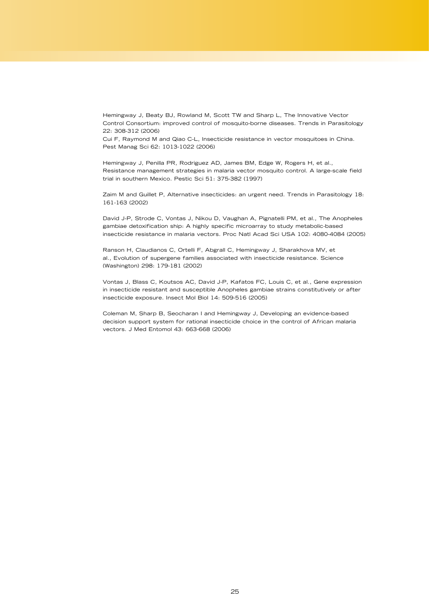Hemingway J, Beaty BJ, Rowland M, Scott TW and Sharp L, The Innovative Vector Control Consortium: improved control of mosquito-borne diseases. Trends in Parasitology 22: 308-312 (2006)

Cui F, Raymond M and Qiao C-L, Insecticide resistance in vector mosquitoes in China. Pest Manag Sci 62: 1013-1022 (2006)

Hemingway J, Penilla PR, Rodriguez AD, James BM, Edge W, Rogers H, et al., Resistance management strategies in malaria vector mosquito control. A large-scale field trial in southern Mexico. Pestic Sci 51: 375-382 (1997)

Zaim M and Guillet P, Alternative insecticides: an urgent need. Trends in Parasitology 18: 161-163 (2002)

David J-P, Strode C, Vontas J, Nikou D, Vaughan A, Pignatelli PM, et al., The Anopheles gambiae detoxification ship: A highly specific microarray to study metabolic-based insecticide resistance in malaria vectors. Proc Natl Acad Sci USA 102: 4080-4084 (2005)

Ranson H, Claudianos C, Ortelli F, Abgrall C, Hemingway J, Sharakhova MV, et al., Evolution of supergene families associated with insecticide resistance. Science (Washington) 298: 179-181 (2002)

Vontas J, Blass C, Koutsos AC, David J-P, Kafatos FC, Louis C, et al., Gene expression in insecticide resistant and susceptible Anopheles gambiae strains constitutively or after insecticide exposure. Insect Mol Biol 14: 509-516 (2005)

Coleman M, Sharp B, Seocharan I and Hemingway J, Developing an evidence-based decision support system for rational insecticide choice in the control of African malaria vectors. J Med Entomol 43: 663-668 (2006)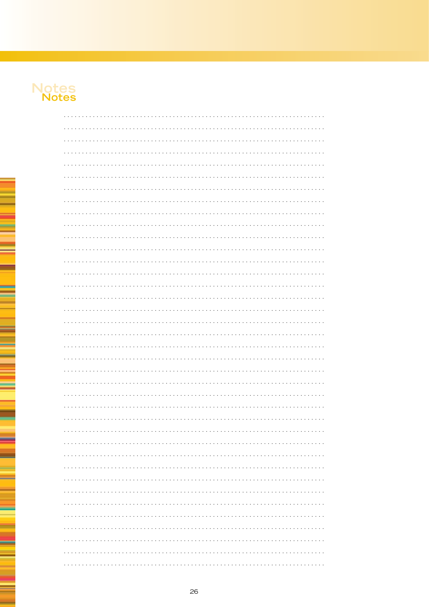![](_page_25_Picture_0.jpeg)

| $\alpha$ , $\alpha$ , $\alpha$ |
|--------------------------------|
|                                |
|                                |
|                                |
|                                |
|                                |
|                                |
|                                |
|                                |
|                                |
|                                |
|                                |
|                                |
|                                |
|                                |
|                                |
|                                |
|                                |
|                                |
|                                |
|                                |
|                                |
|                                |
|                                |
|                                |
|                                |
|                                |
|                                |
|                                |
|                                |
|                                |
|                                |
|                                |
|                                |
|                                |
|                                |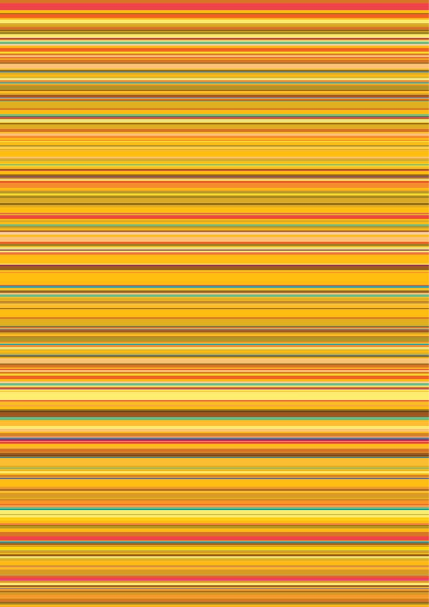-----═ <u> 2001 - Andrea San Andrew Maria (h. 1888).</u>